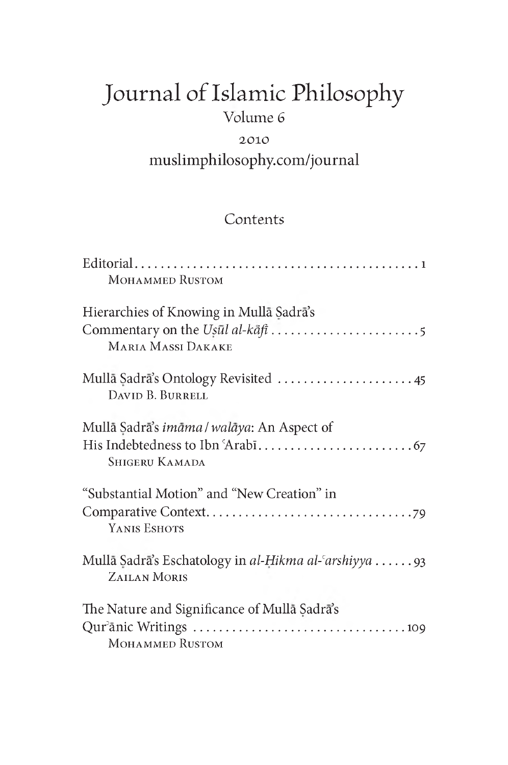# Journal of Islamic Philosophy Volume 6

# 2010 muslimphilosophy.com/journal

## **Contents**

| <b>MOHAMMED RUSTOM</b>                                                       |
|------------------------------------------------------------------------------|
| Hierarchies of Knowing in Mulla Sadra's<br><b>MARIA MASSI DAKAKE</b>         |
| Mullā Sadrā's Ontology Revisited  45<br>DAVID B. BURRELL                     |
| Mulla Sadra's <i>imāma</i> / walāya: An Aspect of<br><b>SHIGERU KAMADA</b>   |
| "Substantial Motion" and "New Creation" in<br>YANIS ESHOTS                   |
| Mullā Sadrā's Eschatology in al-Hikma al-'arshiyya 93<br><b>ZAILAN MORIS</b> |
| The Nature and Significance of Mullā Sadrā's<br><b>MOHAMMED RUSTOM</b>       |